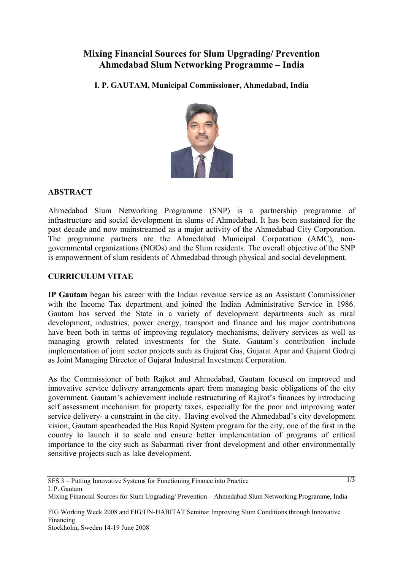## **Mixing Financial Sources for Slum Upgrading/ Prevention Ahmedabad Slum Networking Programme – India**

**I. P. GAUTAM, Municipal Commissioner, Ahmedabad, India** 



## **ABSTRACT**

Ahmedabad Slum Networking Programme (SNP) is a partnership programme of infrastructure and social development in slums of Ahmedabad. It has been sustained for the past decade and now mainstreamed as a major activity of the Ahmedabad City Corporation. The programme partners are the Ahmedabad Municipal Corporation (AMC), nongovernmental organizations (NGOs) and the Slum residents. The overall objective of the SNP is empowerment of slum residents of Ahmedabad through physical and social development.

## **CURRICULUM VITAE**

**IP Gautam** began his career with the Indian revenue service as an Assistant Commissioner with the Income Tax department and joined the Indian Administrative Service in 1986. Gautam has served the State in a variety of development departments such as rural development, industries, power energy, transport and finance and his major contributions have been both in terms of improving regulatory mechanisms, delivery services as well as managing growth related investments for the State. Gautam's contribution include implementation of joint sector projects such as Gujarat Gas, Gujarat Apar and Gujarat Godrej as Joint Managing Director of Gujarat Industrial Investment Corporation.

As the Commissioner of both Rajkot and Ahmedabad, Gautam focused on improved and innovative service delivery arrangements apart from managing basic obligations of the city government. Gautam's achievement include restructuring of Rajkot's finances by introducing self assessment mechanism for property taxes, especially for the poor and improving water service delivery- a constraint in the city. Having evolved the Ahmedabad's city development vision, Gautam spearheaded the Bus Rapid System program for the city, one of the first in the country to launch it to scale and ensure better implementation of programs of critical importance to the city such as Sabarmati river front development and other environmentally sensitive projects such as lake development.

 $\overline{1/3}$ 

FIG Working Week 2008 and FIG/UN-HABITAT Seminar Improving Slum Conditions through Innovative Financing Stockholm, Sweden 14-19 June 2008

Mixing Financial Sources for Slum Upgrading/ Prevention – Ahmedabad Slum Networking Programme, India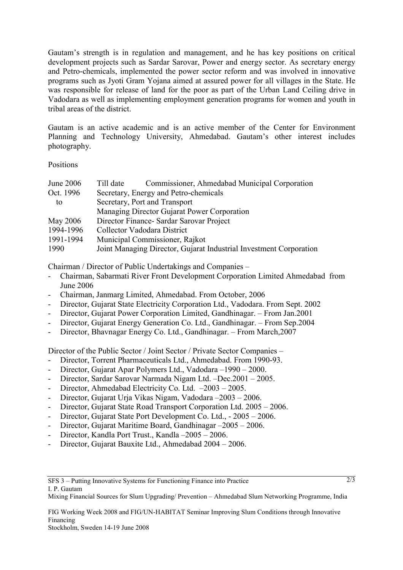Gautam's strength is in regulation and management, and he has key positions on critical development projects such as Sardar Sarovar, Power and energy sector. As secretary energy and Petro-chemicals, implemented the power sector reform and was involved in innovative programs such as Jyoti Gram Yojana aimed at assured power for all villages in the State. He was responsible for release of land for the poor as part of the Urban Land Ceiling drive in Vadodara as well as implementing employment generation programs for women and youth in tribal areas of the district.

Gautam is an active academic and is an active member of the Center for Environment Planning and Technology University, Ahmedabad. Gautam's other interest includes photography.

Positions

| June 2006 | Commissioner, Ahmedabad Municipal Corporation<br>Till date         |
|-----------|--------------------------------------------------------------------|
| Oct. 1996 | Secretary, Energy and Petro-chemicals                              |
| to        | Secretary, Port and Transport                                      |
|           | Managing Director Gujarat Power Corporation                        |
| May 2006  | Director Finance - Sardar Sarovar Project                          |
| 1994-1996 | Collector Vadodara District                                        |
| 1991-1994 | Municipal Commissioner, Rajkot                                     |
| 1990      | Joint Managing Director, Gujarat Industrial Investment Corporation |

Chairman / Director of Public Undertakings and Companies –

- Chairman, Sabarmati River Front Development Corporation Limited Ahmedabad from June 2006
- Chairman, Janmarg Limited, Ahmedabad. From October, 2006
- Director, Gujarat State Electricity Corporation Ltd., Vadodara. From Sept. 2002
- Director, Gujarat Power Corporation Limited, Gandhinagar. From Jan.2001
- Director, Gujarat Energy Generation Co. Ltd., Gandhinagar. From Sep.2004
- Director, Bhavnagar Energy Co. Ltd., Gandhinagar. From March,2007

Director of the Public Sector / Joint Sector / Private Sector Companies –

- Director, Torrent Pharmaceuticals Ltd., Ahmedabad. From 1990-93.
- Director, Gujarat Apar Polymers Ltd., Vadodara –1990 2000.
- Director, Sardar Sarovar Narmada Nigam Ltd. –Dec.2001 2005.
- Director, Ahmedabad Electricity Co. Ltd.  $-2003 2005$ .
- Director, Gujarat Urja Vikas Nigam, Vadodara –2003 2006.
- Director, Gujarat State Road Transport Corporation Ltd. 2005 2006.
- Director, Gujarat State Port Development Co. Ltd., 2005 2006.
- Director, Gujarat Maritime Board, Gandhinagar –2005 2006.
- Director, Kandla Port Trust., Kandla –2005 2006.
- Director, Gujarat Bauxite Ltd., Ahmedabad 2004 2006.

 $\overline{2/3}$ 

FIG Working Week 2008 and FIG/UN-HABITAT Seminar Improving Slum Conditions through Innovative Financing

Stockholm, Sweden 14-19 June 2008

Mixing Financial Sources for Slum Upgrading/ Prevention – Ahmedabad Slum Networking Programme, India